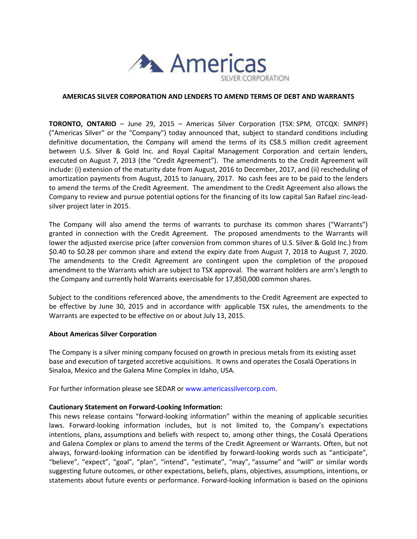

## **AMERICAS SILVER CORPORATION AND LENDERS TO AMEND TERMS OF DEBT AND WARRANTS**

**TORONTO, ONTARIO** – June 29, 2015 – Americas Silver Corporation (TSX: SPM, OTCQX: SMNPF) ("Americas Silver" or the "Company") today announced that, subject to standard conditions including definitive documentation, the Company will amend the terms of its C\$8.5 million credit agreement between U.S. Silver & Gold Inc. and Royal Capital Management Corporation and certain lenders, executed on August 7, 2013 (the "Credit Agreement"). The amendments to the Credit Agreement will include: (i) extension of the maturity date from August, 2016 to December, 2017, and (ii) rescheduling of amortization payments from August, 2015 to January, 2017. No cash fees are to be paid to the lenders to amend the terms of the Credit Agreement. The amendment to the Credit Agreement also allows the Company to review and pursue potential options for the financing of its low capital San Rafael zinc-leadsilver project later in 2015.

The Company will also amend the terms of warrants to purchase its common shares ("Warrants") granted in connection with the Credit Agreement. The proposed amendments to the Warrants will lower the adjusted exercise price (after conversion from common shares of U.S. Silver & Gold Inc.) from \$0.40 to \$0.28 per common share and extend the expiry date from August 7, 2018 to August 7, 2020. The amendments to the Credit Agreement are contingent upon the completion of the proposed amendment to the Warrants which are subject to TSX approval. The warrant holders are arm's length to the Company and currently hold Warrants exercisable for 17,850,000 common shares.

Subject to the conditions referenced above, the amendments to the Credit Agreement are expected to be effective by June 30, 2015 and in accordance with' applicable TSX rules, the amendments to the Warrants are expected to be effective on or about July 13, 2015.

## **About Americas Silver Corporation**

The Company is a silver mining company focused on growth in precious metals from its existing asset base and execution of targeted accretive acquisitions. It owns and operates the Cosalá Operations in Sinaloa, Mexico and the Galena Mine Complex in Idaho, USA.

For further information please see SEDAR or [www.americassilvercorp.com.](http://www.americassilvercorp.com/)

## **Cautionary Statement on Forward-Looking Information:**

This news release contains "forward-looking information" within the meaning of applicable securities laws. Forward-looking information includes, but is not limited to, the Company's expectations intentions, plans, assumptions and beliefs with respect to, among other things, the Cosalá Operations and Galena Complex or plans to amend the terms of the Credit Agreement or Warrants. Often, but not always, forward-looking information can be identified by forward-looking words such as "anticipate", "believe", "expect", "goal", "plan", "intend", "estimate", "may", "assume" and "will" or similar words suggesting future outcomes, or other expectations, beliefs, plans, objectives, assumptions, intentions, or statements about future events or performance. Forward-looking information is based on the opinions